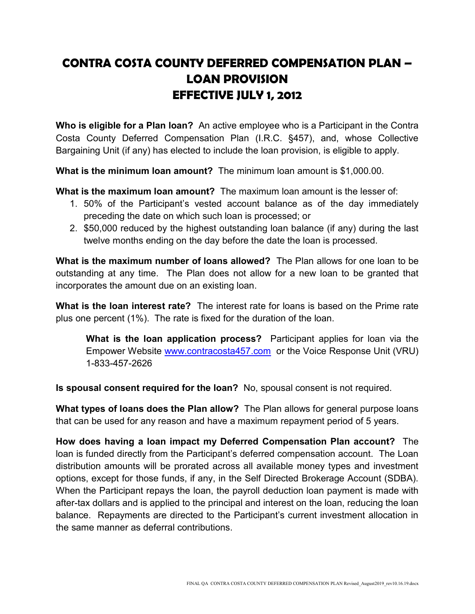## CONTRA COSTA COUNTY DEFERRED COMPENSATION PLAN – LOAN PROVISION EFFECTIVE JULY 1, 2012

Who is eligible for a Plan loan? An active employee who is a Participant in the Contra Costa County Deferred Compensation Plan (I.R.C. §457), and, whose Collective Bargaining Unit (if any) has elected to include the loan provision, is eligible to apply.

What is the minimum loan amount? The minimum loan amount is \$1,000.00.

What is the maximum loan amount? The maximum loan amount is the lesser of:

- 1. 50% of the Participant's vested account balance as of the day immediately preceding the date on which such loan is processed; or
- 2. \$50,000 reduced by the highest outstanding loan balance (if any) during the last twelve months ending on the day before the date the loan is processed.

What is the maximum number of loans allowed? The Plan allows for one loan to be outstanding at any time. The Plan does not allow for a new loan to be granted that incorporates the amount due on an existing loan.

What is the loan interest rate? The interest rate for loans is based on the Prime rate plus one percent (1%). The rate is fixed for the duration of the loan.

What is the loan application process? Participant applies for loan via the Empower Website www.contracosta457.com or the Voice Response Unit (VRU) 1-833-457-2626

Is spousal consent required for the loan? No, spousal consent is not required.

What types of loans does the Plan allow? The Plan allows for general purpose loans that can be used for any reason and have a maximum repayment period of 5 years.

How does having a loan impact my Deferred Compensation Plan account? The loan is funded directly from the Participant's deferred compensation account. The Loan distribution amounts will be prorated across all available money types and investment options, except for those funds, if any, in the Self Directed Brokerage Account (SDBA). When the Participant repays the loan, the payroll deduction loan payment is made with after-tax dollars and is applied to the principal and interest on the loan, reducing the loan balance. Repayments are directed to the Participant's current investment allocation in the same manner as deferral contributions.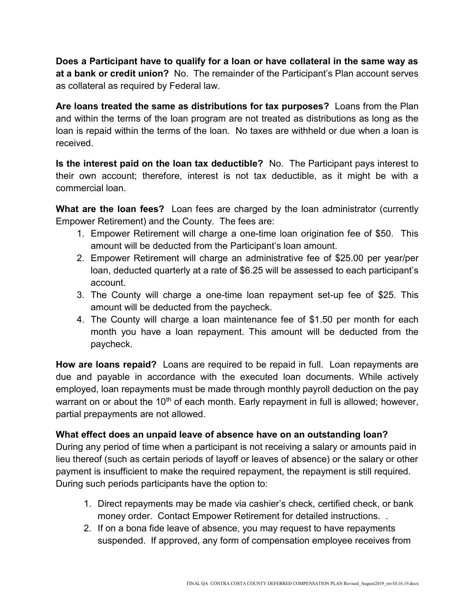Does a Participant have to qualify for a loan or have collateral in the same way as at a bank or credit union? No. The remainder of the Participant's Plan account serves as collateral as required by Federal law.

Are loans treated the same as distributions for tax purposes? Loans from the Plan and within the terms of the loan program are not treated as distributions as long as the loan is repaid within the terms of the loan. No taxes are withheld or due when a loan is received.

Is the interest paid on the loan tax deductible? No. The Participant pays interest to their own account; therefore, interest is not tax deductible, as it might be with a commercial loan.

What are the loan fees? Loan fees are charged by the loan administrator (currently Empower Retirement) and the County. The fees are:

- 1. Empower Retirement will charge a one-time loan origination fee of \$50. This amount will be deducted from the Participant's loan amount.
- 2. Empower Retirement will charge an administrative fee of \$25.00 per year/per loan, deducted quarterly at a rate of \$6.25 will be assessed to each participant's account.
- 3. The County will charge a one-time loan repayment set-up fee of \$25. This amount will be deducted from the paycheck.
- 4. The County will charge a loan maintenance fee of \$1.50 per month for each month you have a loan repayment. This amount will be deducted from the paycheck.

How are loans repaid? Loans are required to be repaid in full. Loan repayments are due and payable in accordance with the executed loan documents. While actively employed, loan repayments must be made through monthly payroll deduction on the pay warrant on or about the  $10<sup>th</sup>$  of each month. Early repayment in full is allowed; however, partial prepayments are not allowed.

## What effect does an unpaid leave of absence have on an outstanding loan?

During any period of time when a participant is not receiving a salary or amounts paid in lieu thereof (such as certain periods of layoff or leaves of absence) or the salary or other payment is insufficient to make the required repayment, the repayment is still required. During such periods participants have the option to:

- 1. Direct repayments may be made via cashier's check, certified check, or bank money order. Contact Empower Retirement for detailed instructions. .
- 2. If on a bona fide leave of absence, you may request to have repayments suspended. If approved, any form of compensation employee receives from